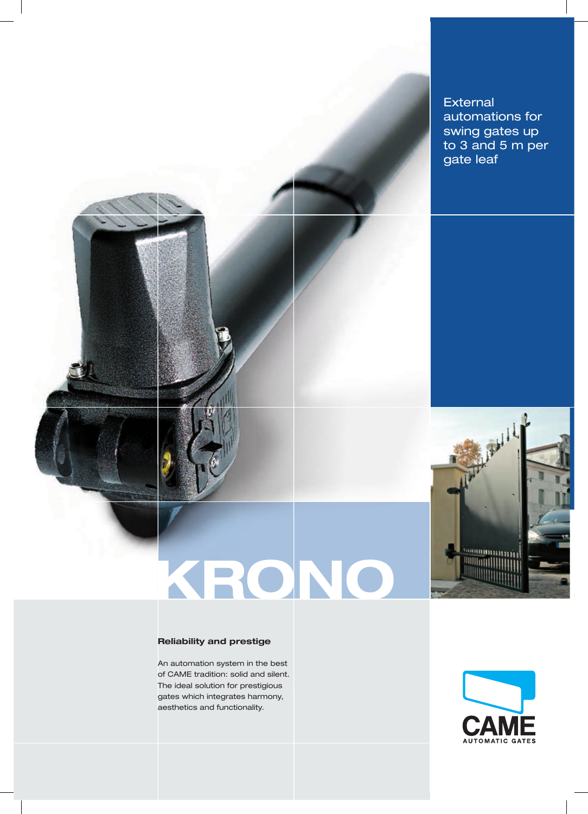

# **External** automations for swing gates up to 3 and 5 m per gate leaf

# **Reliability and prestige**

An automation system in the best of CAME tradition: solid and silent. The ideal solution for prestigious gates which integrates harmony, aesthetics and functionality.

**KRONO**



Maple 14

**September**